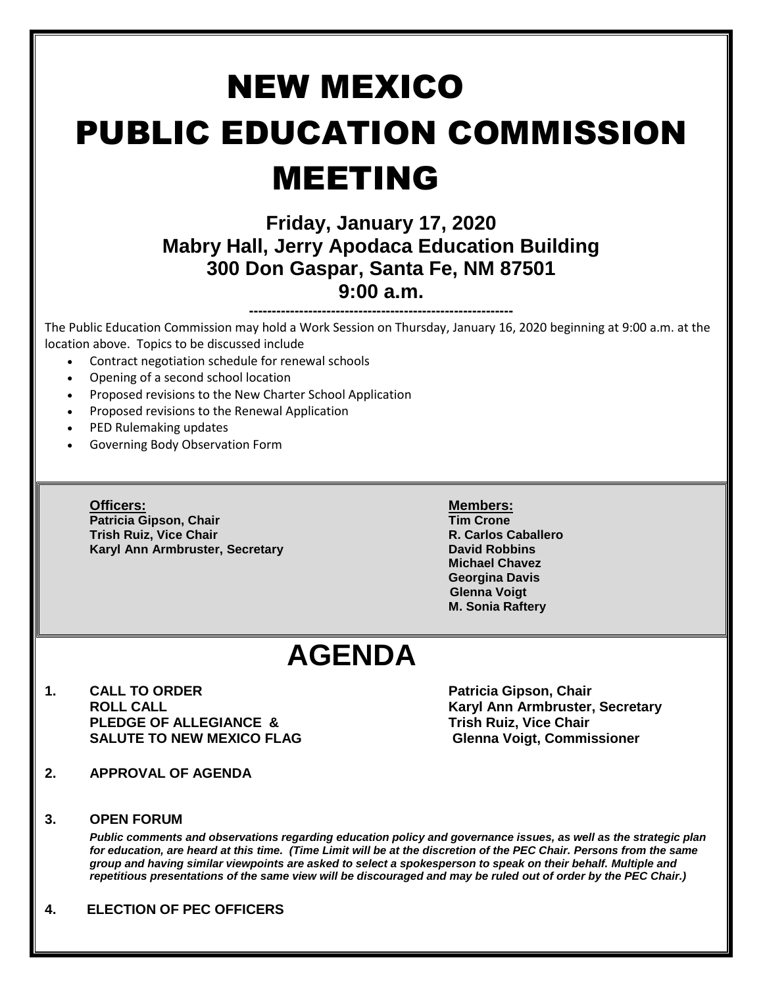# NEW MEXICO PUBLIC EDUCATION COMMISSION MEETING

### **Friday, January 17, 2020 Mabry Hall, Jerry Apodaca Education Building 300 Don Gaspar, Santa Fe, NM 87501 9:00 a.m.**

**----------------------------------------------------------** The Public Education Commission may hold a Work Session on Thursday, January 16, 2020 beginning at 9:00 a.m. at the location above. Topics to be discussed include

- Contract negotiation schedule for renewal schools
- Opening of a second school location
- Proposed revisions to the New Charter School Application
- Proposed revisions to the Renewal Application
- PED Rulemaking updates
- Governing Body Observation Form

**Officers: Members: Patricia Gipson, Chair Tim Crone Trish Ruiz, Vice Chair Karyl Ann Armbruster, Secretary <b>David Robbins David Robbins** 

**Michael Chavez Georgina Davis Glenna Voigt M. Sonia Raftery**

## **AGENDA**

**1. CALL TO ORDER Patricia Gipson, Chair ROLL CALL Karyl Ann Armbruster, Secretary PLEDGE OF ALLEGIANCE & Trish Ruiz, Vice Chair** SALUTE TO NEW MEXICO FLAG **Glenna Voigt, Commissioner** 

- **2. APPROVAL OF AGENDA**
- **3. OPEN FORUM**

*Public comments and observations regarding education policy and governance issues, as well as the strategic plan for education, are heard at this time. (Time Limit will be at the discretion of the PEC Chair. Persons from the same group and having similar viewpoints are asked to select a spokesperson to speak on their behalf. Multiple and repetitious presentations of the same view will be discouraged and may be ruled out of order by the PEC Chair.)*

**4. ELECTION OF PEC OFFICERS**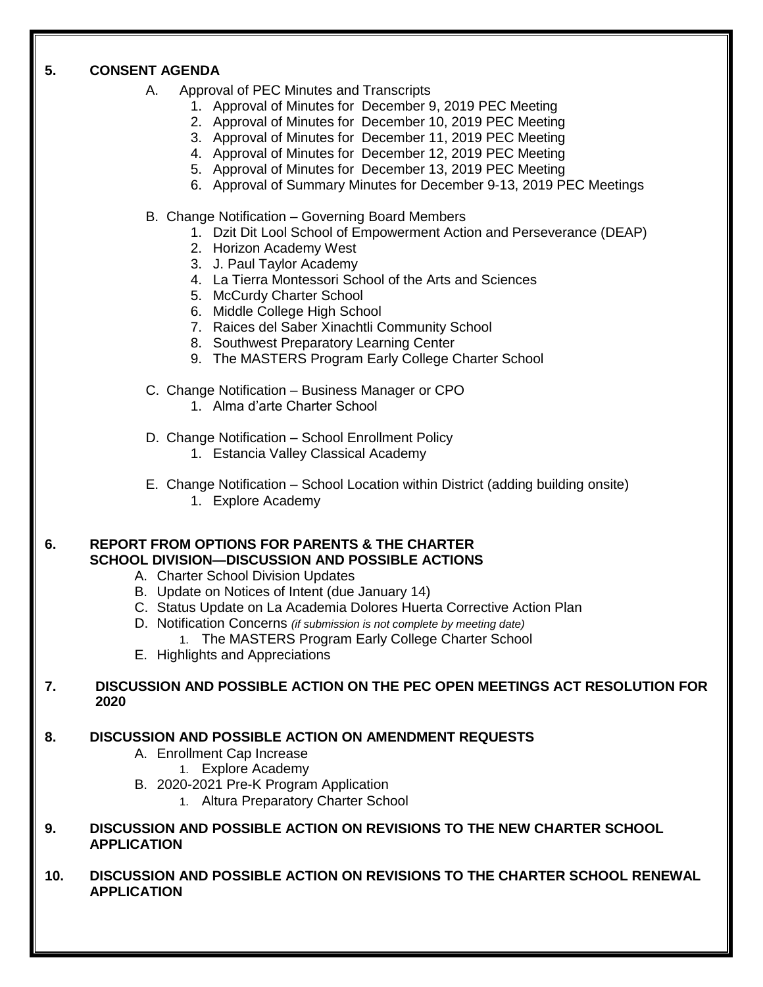#### **5. CONSENT AGENDA**

- A. Approval of PEC Minutes and Transcripts
	- 1. Approval of Minutes for December 9, 2019 PEC Meeting
	- 2. Approval of Minutes for December 10, 2019 PEC Meeting
	- 3. Approval of Minutes for December 11, 2019 PEC Meeting
	- 4. Approval of Minutes for December 12, 2019 PEC Meeting
	- 5. Approval of Minutes for December 13, 2019 PEC Meeting
	- 6. Approval of Summary Minutes for December 9-13, 2019 PEC Meetings
- B. Change Notification Governing Board Members
	- 1. Dzit Dit Lool School of Empowerment Action and Perseverance (DEAP)
	- 2. Horizon Academy West
	- 3. J. Paul Taylor Academy
	- 4. La Tierra Montessori School of the Arts and Sciences
	- 5. McCurdy Charter School
	- 6. Middle College High School
	- 7. Raices del Saber Xinachtli Community School
	- 8. Southwest Preparatory Learning Center
	- 9. The MASTERS Program Early College Charter School
- C. Change Notification Business Manager or CPO
	- 1. Alma d'arte Charter School
- D. Change Notification School Enrollment Policy
	- 1. Estancia Valley Classical Academy
- E. Change Notification School Location within District (adding building onsite)
	- 1. Explore Academy

#### **6. REPORT FROM OPTIONS FOR PARENTS & THE CHARTER SCHOOL DIVISION—DISCUSSION AND POSSIBLE ACTIONS**

- A. Charter School Division Updates
- B. Update on Notices of Intent (due January 14)
- C. Status Update on La Academia Dolores Huerta Corrective Action Plan
- D. Notification Concerns *(if submission is not complete by meeting date)*
	- 1. The MASTERS Program Early College Charter School
- E. Highlights and Appreciations

#### **7. DISCUSSION AND POSSIBLE ACTION ON THE PEC OPEN MEETINGS ACT RESOLUTION FOR 2020**

#### **8. DISCUSSION AND POSSIBLE ACTION ON AMENDMENT REQUESTS**

- A. Enrollment Cap Increase
	- 1. Explore Academy
- B. 2020-2021 Pre-K Program Application
	- 1. Altura Preparatory Charter School
- **9. DISCUSSION AND POSSIBLE ACTION ON REVISIONS TO THE NEW CHARTER SCHOOL APPLICATION**
- **10. DISCUSSION AND POSSIBLE ACTION ON REVISIONS TO THE CHARTER SCHOOL RENEWAL APPLICATION**